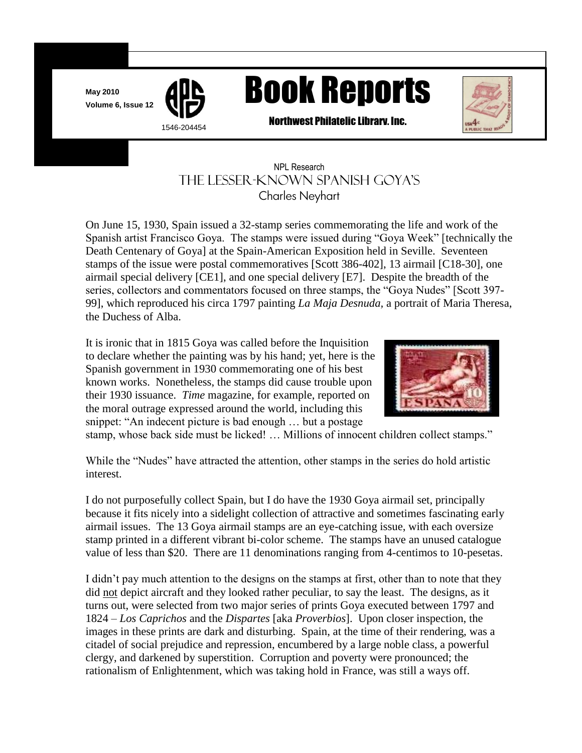**May 2010**



# May 2010<br>Volume 6, Issue 12 **APS** Book Reports



Northwest Philatelic Library. Inc.<br>1546-204454<br>2007 - Philatelic Library, Inc.

# NPL Research THE LESSER-KNOWN SPANISH GOYA'S<br>Charles Neyhart Charles Neyhart

j

On June 15, 1930, Spain issued a 32-stamp series commemorating the life and work of the Spanish artist Francisco Goya. The stamps were issued during "Goya Week" [technically the Death Centenary of Goya] at the Spain-American Exposition held in Seville. Seventeen stamps of the issue were postal commemoratives [Scott 386-402], 13 airmail [C18-30], one airmail special delivery [CE1], and one special delivery [E7]. Despite the breadth of the series, collectors and commentators focused on three stamps, the "Goya Nudes" [Scott 397- 99], which reproduced his circa 1797 painting *La Maja Desnuda,* a portrait of Maria Theresa, the Duchess of Alba.

It is ironic that in 1815 Goya was called before the Inquisition to declare whether the painting was by his hand; yet, here is the Spanish government in 1930 commemorating one of his best known works. Nonetheless, the stamps did cause trouble upon their 1930 issuance. *Time* magazine, for example, reported on the moral outrage expressed around the world, including this snippet: "An indecent picture is bad enough … but a postage



stamp, whose back side must be licked! … Millions of innocent children collect stamps."

While the "Nudes" have attracted the attention, other stamps in the series do hold artistic interest.

I do not purposefully collect Spain, but I do have the 1930 Goya airmail set, principally because it fits nicely into a sidelight collection of attractive and sometimes fascinating early airmail issues. The 13 Goya airmail stamps are an eye-catching issue, with each oversize stamp printed in a different vibrant bi-color scheme. The stamps have an unused catalogue value of less than \$20. There are 11 denominations ranging from 4-centimos to 10-pesetas.

I didn"t pay much attention to the designs on the stamps at first, other than to note that they did not depict aircraft and they looked rather peculiar, to say the least. The designs, as it turns out, were selected from two major series of prints Goya executed between 1797 and 1824 – *Los Caprichos* and the *Dispartes* [aka *Proverbios*]. Upon closer inspection, the images in these prints are dark and disturbing. Spain, at the time of their rendering, was a citadel of social prejudice and repression, encumbered by a large noble class, a powerful clergy, and darkened by superstition. Corruption and poverty were pronounced; the rationalism of Enlightenment, which was taking hold in France, was still a ways off.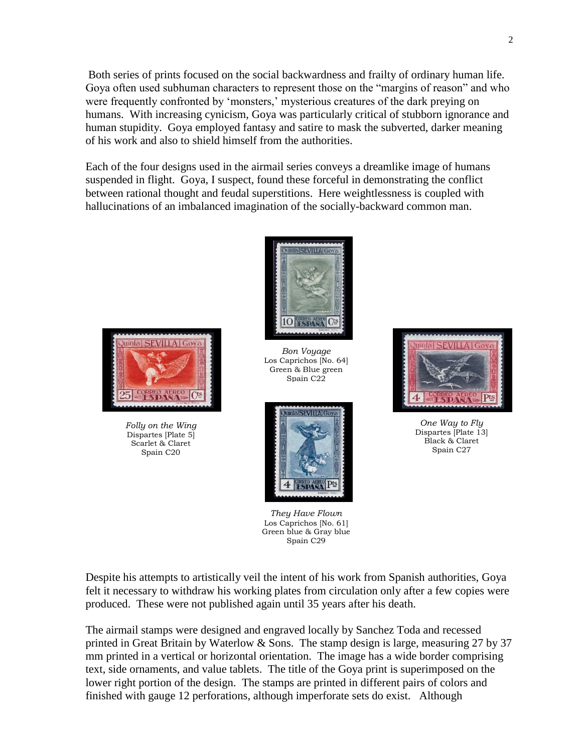Both series of prints focused on the social backwardness and frailty of ordinary human life. Goya often used subhuman characters to represent those on the "margins of reason" and who were frequently confronted by 'monsters,' mysterious creatures of the dark preying on humans. With increasing cynicism, Goya was particularly critical of stubborn ignorance and human stupidity. Goya employed fantasy and satire to mask the subverted, darker meaning of his work and also to shield himself from the authorities.

Each of the four designs used in the airmail series conveys a dreamlike image of humans suspended in flight. Goya, I suspect, found these forceful in demonstrating the conflict between rational thought and feudal superstitions. Here weightlessness is coupled with hallucinations of an imbalanced imagination of the socially-backward common man.



*Folly on the Wing* Dispartes [Plate 5] Scarlet & Claret Spain C20



*Bon Voyage* Los Caprichos [No. 64] Green & Blue green Spain C22



*They Have Flown* Los Caprichos [No. 61] Green blue & Gray blue Spain C29



*One Way to Fly* Dispartes [Plate 13] Black & Claret Spain C27

Despite his attempts to artistically veil the intent of his work from Spanish authorities, Goya felt it necessary to withdraw his working plates from circulation only after a few copies were produced. These were not published again until 35 years after his death.

The airmail stamps were designed and engraved locally by Sanchez Toda and recessed printed in Great Britain by Waterlow & Sons. The stamp design is large, measuring 27 by 37 mm printed in a vertical or horizontal orientation. The image has a wide border comprising text, side ornaments, and value tablets. The title of the Goya print is superimposed on the lower right portion of the design. The stamps are printed in different pairs of colors and finished with gauge 12 perforations, although imperforate sets do exist. Although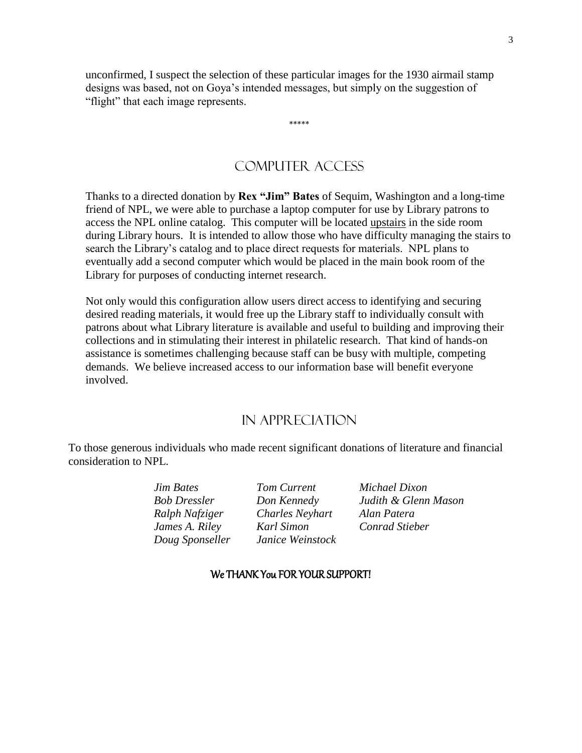unconfirmed, I suspect the selection of these particular images for the 1930 airmail stamp designs was based, not on Goya"s intended messages, but simply on the suggestion of "flight" that each image represents.

\*\*\*\*\*

### COMPUTER ACCESS

Thanks to a directed donation by **Rex "Jim" Bates** of Sequim, Washington and a long-time friend of NPL, we were able to purchase a laptop computer for use by Library patrons to access the NPL online catalog. This computer will be located upstairs in the side room during Library hours. It is intended to allow those who have difficulty managing the stairs to search the Library"s catalog and to place direct requests for materials. NPL plans to eventually add a second computer which would be placed in the main book room of the Library for purposes of conducting internet research.

Not only would this configuration allow users direct access to identifying and securing desired reading materials, it would free up the Library staff to individually consult with patrons about what Library literature is available and useful to building and improving their collections and in stimulating their interest in philatelic research. That kind of hands-on assistance is sometimes challenging because staff can be busy with multiple, competing demands. We believe increased access to our information base will benefit everyone involved.

#### In Appreciation

To those generous individuals who made recent significant donations of literature and financial consideration to NPL.

| <b>Jim Bates</b>    | Tom Current            | Michael Dixon        |
|---------------------|------------------------|----------------------|
| <b>Bob Dressler</b> | Don Kennedy            | Judith & Glenn Mason |
| Ralph Nafziger      | <b>Charles Neyhart</b> | Alan Patera          |
| James A. Riley      | Karl Simon             | Conrad Stieber       |
| Doug Sponseller     | Janice Weinstock       |                      |

#### We THANK You FOR YOUR SUPPORT!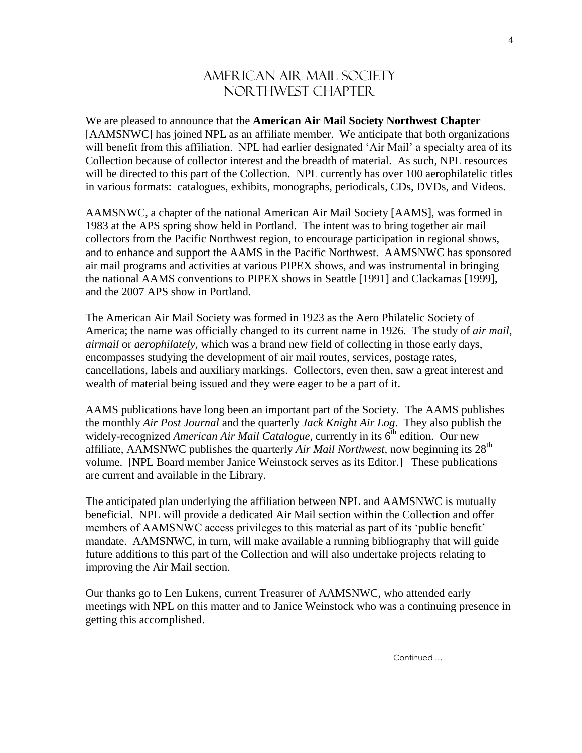# AMERICAN AIR MAIL SOCIETY NOR THWEST CHAPTER

We are pleased to announce that the **American Air Mail Society Northwest Chapter** [AAMSNWC] has joined NPL as an affiliate member. We anticipate that both organizations will benefit from this affiliation. NPL had earlier designated 'Air Mail' a specialty area of its Collection because of collector interest and the breadth of material. As such, NPL resources will be directed to this part of the Collection. NPL currently has over 100 aerophilatelic titles in various formats: catalogues, exhibits, monographs, periodicals, CDs, DVDs, and Videos.

AAMSNWC, a chapter of the national American Air Mail Society [AAMS], was formed in 1983 at the APS spring show held in Portland. The intent was to bring together air mail collectors from the Pacific Northwest region, to encourage participation in regional shows, and to enhance and support the AAMS in the Pacific Northwest. AAMSNWC has sponsored air mail programs and activities at various PIPEX shows, and was instrumental in bringing the national AAMS conventions to PIPEX shows in Seattle [1991] and Clackamas [1999], and the 2007 APS show in Portland.

The American Air Mail Society was formed in 1923 as the Aero Philatelic Society of America; the name was officially changed to its current name in 1926. The study of *air mail*, *airmail* or *aerophilately*, which was a brand new field of collecting in those early days, encompasses studying the development of air mail routes, services, postage rates, cancellations, labels and auxiliary markings. Collectors, even then, saw a great interest and wealth of material being issued and they were eager to be a part of it.

AAMS publications have long been an important part of the Society. The AAMS publishes the monthly *Air Post Journal* and the quarterly *Jack Knight Air Log*. They also publish the widely-recognized *American Air Mail Catalogue*, currently in its 6<sup>th</sup> edition. Our new affiliate, AAMSNWC publishes the quarterly *Air Mail Northwest,* now beginning its 28th volume. [NPL Board member Janice Weinstock serves as its Editor.] These publications are current and available in the Library.

The anticipated plan underlying the affiliation between NPL and AAMSNWC is mutually beneficial. NPL will provide a dedicated Air Mail section within the Collection and offer members of AAMSNWC access privileges to this material as part of its 'public benefit' mandate. AAMSNWC, in turn, will make available a running bibliography that will guide future additions to this part of the Collection and will also undertake projects relating to improving the Air Mail section.

Our thanks go to Len Lukens, current Treasurer of AAMSNWC, who attended early meetings with NPL on this matter and to Janice Weinstock who was a continuing presence in getting this accomplished.

Continued …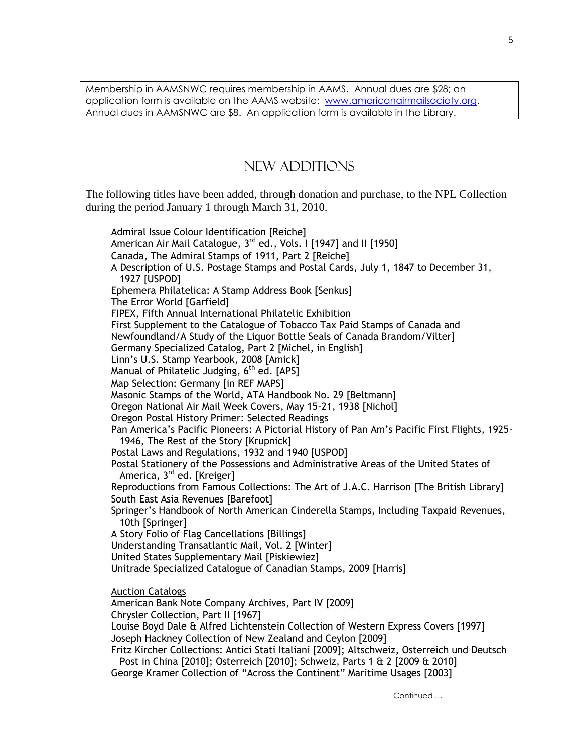Membership in AAMSNWC requires membership in AAMS. Annual dues are \$28; an application form is available on the AAMS website: [www.americanairmailsociety.org.](http://www.americanairmailsociety.org/) Annual dues in AAMSNWC are \$8. An application form is available in the Library.

# NEW ADDITIONS

The following titles have been added, through donation and purchase, to the NPL Collection during the period January 1 through March 31, 2010.

Admiral Issue Colour Identification [Reiche] American Air Mail Catalogue,  $3<sup>rd</sup>$  ed., Vols. I [1947] and II [1950] Canada, The Admiral Stamps of 1911, Part 2 [Reiche] A Description of U.S. Postage Stamps and Postal Cards, July 1, 1847 to December 31, 1927 [USPOD] Ephemera Philatelica: A Stamp Address Book [Senkus] The Error World [Garfield] FIPEX, Fifth Annual International Philatelic Exhibition First Supplement to the Catalogue of Tobacco Tax Paid Stamps of Canada and Newfoundland/A Study of the Liquor Bottle Seals of Canada Brandom/Vilter] Germany Specialized Catalog, Part 2 [Michel, in English] Linn"s U.S. Stamp Yearbook, 2008 [Amick] Manual of Philatelic Judging,  $6<sup>th</sup>$  ed. [APS] Map Selection: Germany [in REF MAPS] Masonic Stamps of the World, ATA Handbook No. 29 [Beltmann] Oregon National Air Mail Week Covers, May 15-21, 1938 [Nichol] Oregon Postal History Primer: Selected Readings Pan America"s Pacific Pioneers: A Pictorial History of Pan Am"s Pacific First Flights, 1925- 1946, The Rest of the Story [Krupnick] Postal Laws and Regulations, 1932 and 1940 [USPOD] Postal Stationery of the Possessions and Administrative Areas of the United States of America, 3<sup>rd</sup> ed. [Kreiger] Reproductions from Famous Collections: The Art of J.A.C. Harrison [The British Library] South East Asia Revenues [Barefoot] Springer"s Handbook of North American Cinderella Stamps, Including Taxpaid Revenues, 10th [Springer] A Story Folio of Flag Cancellations [Billings] Understanding Transatlantic Mail, Vol. 2 [Winter] United States Supplementary Mail [Piskiewiez] Unitrade Specialized Catalogue of Canadian Stamps, 2009 [Harris] Auction Catalogs American Bank Note Company Archives, Part IV [2009] Chrysler Collection, Part II [1967] Louise Boyd Dale & Alfred Lichtenstein Collection of Western Express Covers [1997] Joseph Hackney Collection of New Zealand and Ceylon [2009] Fritz Kircher Collections: Antici Stati Italiani [2009]; Altschweiz, Osterreich und Deutsch Post in China [2010]; Osterreich [2010]; Schweiz, Parts 1 & 2 [2009 & 2010]

George Kramer Collection of "Across the Continent" Maritime Usages [2003]